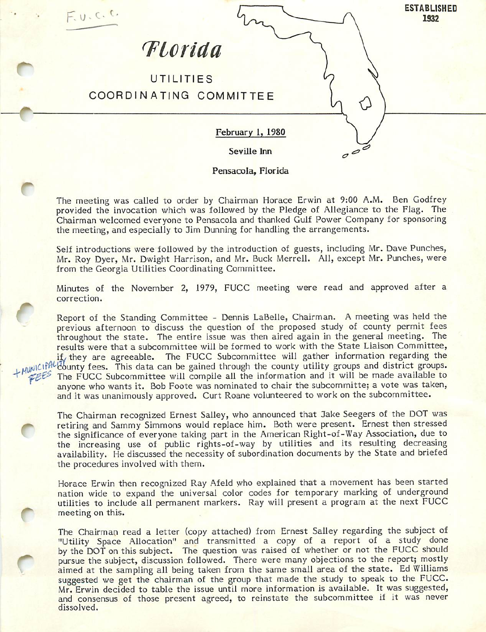

Pensacola, Florida

 $\overline{\mathbf{C}}$ 

C

The meeting was called to order by Chairman Horace Erwin at 9:00 A.M. Ben Godfrey provided the invocation which was followed by the Pledge of Allegiance to the Flag. The Chairman welcomed everyone to Fensacola and thanked Gulf Power Company for sponsoring the meeting, and especially to Jim Dunning for handling the arrangements.

Self introductions were followed by the introduction of guests, including Mr. Dave Punches, Mr. Roy Dyer, Mr. Dwight Harrison, and Mr. Buck Merrell. All, except Mr. Punches, were from the Georgia Utilities Coordinating Committee.

Minutes of the November 2, 1979, FUCC meeting were read and approved after a correction.

Report of the Standing Committee - Dennis LaBelle, Chairman. A meeting was held the previous afternoon to discuss the question of the proposed study of county permit fees throughout the state. The entire issue was then aired again in the general meeting. The results were that a subcommittee will be formed to work with the State Liaison Committee,  $if_x$  they are agreeable. The FUCC Subcommittee will gather information regarding the if they are agreeable. The FUCC Subcommittee will gather information regarding the MINICIPAL County fees. This data can be gained through the county utility groups and district groups. FEES The FUCC Subcommittee will compile all the information and it will be made available to anyone who wants it. Bob Foote was nominated to chair the subcommitte; a vote was taken, and it was unanimously approved. Curt Roane volunteered to work on the subcommittee.

The Chairman recognized Ernest Salley, who announced that Jake Seegers of the DOT was<br>retiring and Sammy Simmons would replace him. Both were present. Ernest then stressed<br>the significance of overvises toking part in the A the significance of everyone taking part in the American Right-of-Way Association, due to the increasing use of public rights-of-way by utilities and its resulting decreasing availability. He discussed the necessity of subordination documents by the State and briefed the procedures involved with them.

Horace Erwin then recognized Ray Afeld who explained that a movement has been started nation wide to expand the universal color codes for temporary marking of underground utilities to include all permanent markers. Ray will present a program at the next FUCC<br>meeting on this.

The Chairman read a letter (copy attached) from Ernest Salley regarding the subject of "Utility Space Allocation" and transmitted a copy of a report of a study done by the DOT on this subject. The question was raised of whether or not the FUCC should pursue the subject, discussion followed. There were many objections to the report; mostly aimed at the sampling all being taken from the same small area of the state. Ed Williams suggested we get the chairman of the group that made the study to speak to the FUCC. Mr. Erwin decided to table the issue until more information is available. It was suggested, and consensus of those present agreed, to reinstate the subcommittee if it was never dissolved.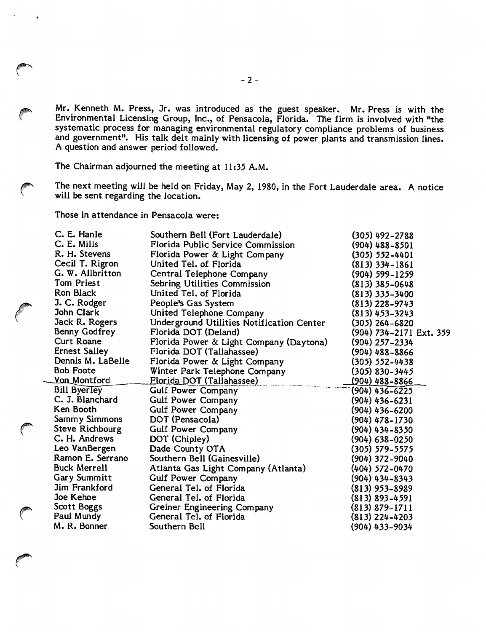Mr. Kenneth M. Press, Jr. was introduced as the guest speaker. Mr. Press is with the Environmental Licensing Group, Inc., of Pensacola, Florida. The firm is involved with "the systematic process for managing environmental regulatory compliance problems of business and government". His talk delt mainly with licensing of power plants and transmission lines. A question and answer period followed.

The Chairman adjourned the meeting at 11:35 A.M.

The next meeting will be held on Friday, May 2, 1980, in the Fort Lauderdale area. A notice will be sent regarding the location.

Those in attendance in Pensacola were:

€

| C. E. Hanle          | Southern Bell (Fort Lauderdale)           | $(305)$ 492-2788        |
|----------------------|-------------------------------------------|-------------------------|
| C. E. Mills          | Florida Public Service Commission         | $(904)$ 488-8501        |
| R. H. Stevens        | Florida Power & Light Company             | $(305) 552 - 4401$      |
| Cecil T. Rigron      | United Tel. of Florida                    | $(813)$ 334-1861        |
| G. W. Allbritton     | Central Telephone Company                 | (904) 599-1259          |
| Tom Priest           | Sebring Utilities Commission              | $(813)$ 385-0648        |
| Ron Black            | United Tel. of Florida                    | (813) 335-3400          |
| J. C. Rodger         | People's Gas System                       | (813) 228–9743          |
| John Clark           | United Telephone Company                  | (813) 453-3243          |
| Jack R. Rogers       | Underground Utilities Notification Center | (305) 264–6820          |
| Benny Godfrey        | Florida DOT (Deland)                      | (904) 734-2171 Ext. 359 |
| Curt Roane           | Florida Power & Light Company (Daytona)   | (904) 257–2334          |
| <b>Ernest Salley</b> | Florida DOT (Tallahassee)                 | (904) 488–8866          |
| Dennis M. LaBelle    | Florida Power & Light Company             | $(305) 552 - 4438$      |
| <b>Bob Foote</b>     | Winter Park Telephone Company             | $(305)$ 830-3445        |
| <u>Von Montford</u>  | Florida DOT (Tallahassee)                 | <u>(904) 488-8866</u>   |
| <b>Bill Byerley</b>  | Gulf Power Company                        | $(904)$ 436-6225        |
| C. J. Blanchard      | Gulf Power Company                        | (904) 436-6231          |
| Ken Booth            | Gulf Power Company                        | $(904)$ 436-6200        |
| Sammy Simmons        | DOT (Pensacola)                           | (904) 478–1730          |
| Steve Richbourg      | Gulf Power Company                        | $(904)$ 434-8350        |
| C. H. Andrews        | DOT (Chipley)                             | $(904) 638 - 0250$      |
| Leo VanBergen        | Dade County OTA                           | $(305) 579 - 5575$      |
| Ramon E. Serrano     | Southern Bell (Gainesville)               | (904) 372–9040          |
| <b>Buck Merrell</b>  | Atlanta Gas Light Company (Atlanta)       | (404) 572-0470          |
| Gary Summitt         | Gulf Power Company                        | $(904)$ 434-8343        |
| Jim Frankford        | General Tel. of Florida                   | $(813)$ 953-8989        |
| Joe Kehoe            | General Tel. of Florida                   | $(813) 893 - 4591$      |
| Scott Boggs          | Greiner Engineering Company               | $(813) 879 - 1711$      |
| Paul Mundy           | General Tel. of Florida                   | $(813)$ 224-4203        |
| M. R. Bonner         | Southern Bell                             | (904) 433–9034          |